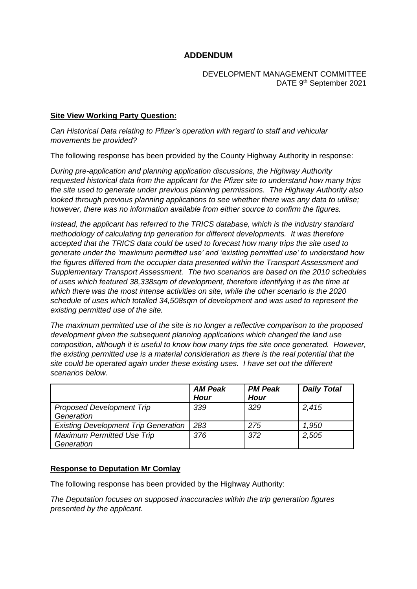# **ADDENDUM**

#### DEVELOPMENT MANAGEMENT COMMITTEE DATE 9<sup>th</sup> September 2021

## **Site View Working Party Question:**

*Can Historical Data relating to Pfizer's operation with regard to staff and vehicular movements be provided?*

The following response has been provided by the County Highway Authority in response:

*During pre-application and planning application discussions, the Highway Authority requested historical data from the applicant for the Pfizer site to understand how many trips the site used to generate under previous planning permissions. The Highway Authority also looked through previous planning applications to see whether there was any data to utilise; however, there was no information available from either source to confirm the figures.*

*Instead, the applicant has referred to the TRICS database, which is the industry standard methodology of calculating trip generation for different developments. It was therefore accepted that the TRICS data could be used to forecast how many trips the site used to generate under the 'maximum permitted use' and 'existing permitted use' to understand how the figures differed from the occupier data presented within the Transport Assessment and Supplementary Transport Assessment. The two scenarios are based on the 2010 schedules of uses which featured 38,338sqm of development, therefore identifying it as the time at which there was the most intense activities on site, while the other scenario is the 2020 schedule of uses which totalled 34,508sqm of development and was used to represent the existing permitted use of the site.*

*The maximum permitted use of the site is no longer a reflective comparison to the proposed development given the subsequent planning applications which changed the land use composition, although it is useful to know how many trips the site once generated. However, the existing permitted use is a material consideration as there is the real potential that the site could be operated again under these existing uses. I have set out the different scenarios below.*

|                                                 | <b>AM Peak</b><br><b>Hour</b> | <b>PM Peak</b><br><b>Hour</b> | <b>Daily Total</b> |
|-------------------------------------------------|-------------------------------|-------------------------------|--------------------|
| <b>Proposed Development Trip</b><br>Generation  | 339                           | 329                           | 2,415              |
| <b>Existing Development Trip Generation</b>     | 283                           | 275                           | 1,950              |
| <b>Maximum Permitted Use Trip</b><br>Generation | 376                           | 372                           | 2,505              |

## **Response to Deputation Mr Comlay**

The following response has been provided by the Highway Authority:

*The Deputation focuses on supposed inaccuracies within the trip generation figures presented by the applicant.*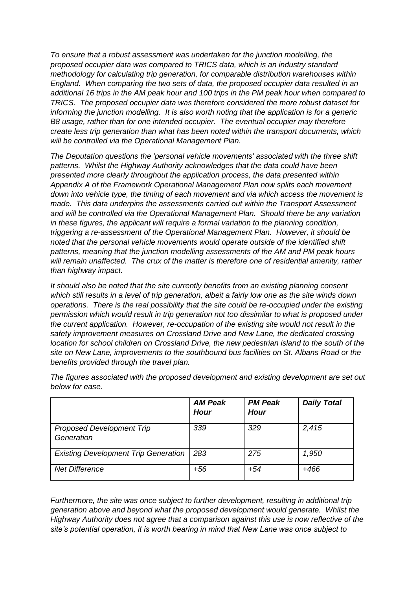*To ensure that a robust assessment was undertaken for the junction modelling, the proposed occupier data was compared to TRICS data, which is an industry standard methodology for calculating trip generation, for comparable distribution warehouses within England. When comparing the two sets of data, the proposed occupier data resulted in an additional 16 trips in the AM peak hour and 100 trips in the PM peak hour when compared to TRICS. The proposed occupier data was therefore considered the more robust dataset for informing the junction modelling. It is also worth noting that the application is for a generic B8 usage, rather than for one intended occupier. The eventual occupier may therefore create less trip generation than what has been noted within the transport documents, which will be controlled via the Operational Management Plan.*

*The Deputation questions the 'personal vehicle movements' associated with the three shift patterns. Whilst the Highway Authority acknowledges that the data could have been presented more clearly throughout the application process, the data presented within Appendix A of the Framework Operational Management Plan now splits each movement down into vehicle type, the timing of each movement and via which access the movement is made. This data underpins the assessments carried out within the Transport Assessment and will be controlled via the Operational Management Plan. Should there be any variation in these figures, the applicant will require a formal variation to the planning condition, triggering a re-assessment of the Operational Management Plan. However, it should be noted that the personal vehicle movements would operate outside of the identified shift patterns, meaning that the junction modelling assessments of the AM and PM peak hours will remain unaffected. The crux of the matter is therefore one of residential amenity, rather than highway impact.*

*It should also be noted that the site currently benefits from an existing planning consent which still results in a level of trip generation, albeit a fairly low one as the site winds down operations. There is the real possibility that the site could be re-occupied under the existing permission which would result in trip generation not too dissimilar to what is proposed under the current application. However, re-occupation of the existing site would not result in the safety improvement measures on Crossland Drive and New Lane, the dedicated crossing location for school children on Crossland Drive, the new pedestrian island to the south of the site on New Lane, improvements to the southbound bus facilities on St. Albans Road or the benefits provided through the travel plan.*

|                                                | <b>AM Peak</b><br><b>Hour</b> | <b>PM Peak</b><br><b>Hour</b> | <b>Daily Total</b> |
|------------------------------------------------|-------------------------------|-------------------------------|--------------------|
| <b>Proposed Development Trip</b><br>Generation | 339                           | 329                           | 2,415              |
| <b>Existing Development Trip Generation</b>    | 283                           | 275                           | 1,950              |
| <b>Net Difference</b>                          | +56                           | $+54$                         | $+466$             |

*The figures associated with the proposed development and existing development are set out below for ease.*

*Furthermore, the site was once subject to further development, resulting in additional trip generation above and beyond what the proposed development would generate. Whilst the Highway Authority does not agree that a comparison against this use is now reflective of the site's potential operation, it is worth bearing in mind that New Lane was once subject to*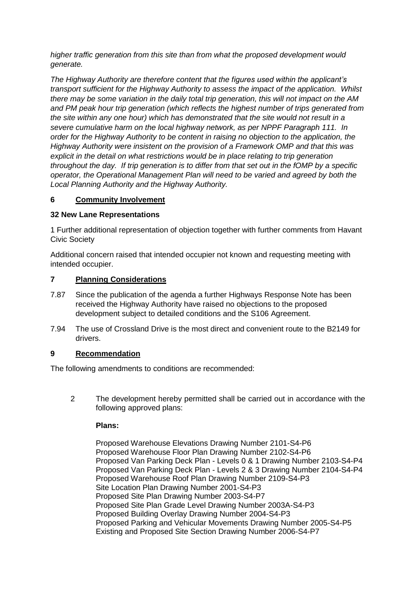*higher traffic generation from this site than from what the proposed development would generate.*

*The Highway Authority are therefore content that the figures used within the applicant's transport sufficient for the Highway Authority to assess the impact of the application. Whilst there may be some variation in the daily total trip generation, this will not impact on the AM and PM peak hour trip generation (which reflects the highest number of trips generated from the site within any one hour) which has demonstrated that the site would not result in a severe cumulative harm on the local highway network, as per NPPF Paragraph 111. In order for the Highway Authority to be content in raising no objection to the application, the Highway Authority were insistent on the provision of a Framework OMP and that this was explicit in the detail on what restrictions would be in place relating to trip generation throughout the day. If trip generation is to differ from that set out in the fOMP by a specific operator, the Operational Management Plan will need to be varied and agreed by both the Local Planning Authority and the Highway Authority.*

## **6 Community Involvement**

## **32 New Lane Representations**

1 Further additional representation of objection together with further comments from Havant Civic Society

Additional concern raised that intended occupier not known and requesting meeting with intended occupier.

## **7 Planning Considerations**

- 7.87 Since the publication of the agenda a further Highways Response Note has been received the Highway Authority have raised no objections to the proposed development subject to detailed conditions and the S106 Agreement.
- 7.94 The use of Crossland Drive is the most direct and convenient route to the B2149 for drivers.

## **9 Recommendation**

The following amendments to conditions are recommended:

2 The development hereby permitted shall be carried out in accordance with the following approved plans:

## **Plans:**

Proposed Warehouse Elevations Drawing Number 2101-S4-P6 Proposed Warehouse Floor Plan Drawing Number 2102-S4-P6 Proposed Van Parking Deck Plan - Levels 0 & 1 Drawing Number 2103-S4-P4 Proposed Van Parking Deck Plan - Levels 2 & 3 Drawing Number 2104-S4-P4 Proposed Warehouse Roof Plan Drawing Number 2109-S4-P3 Site Location Plan Drawing Number 2001-S4-P3 Proposed Site Plan Drawing Number 2003-S4-P7 Proposed Site Plan Grade Level Drawing Number 2003A-S4-P3 Proposed Building Overlay Drawing Number 2004-S4-P3 Proposed Parking and Vehicular Movements Drawing Number 2005-S4-P5 Existing and Proposed Site Section Drawing Number 2006-S4-P7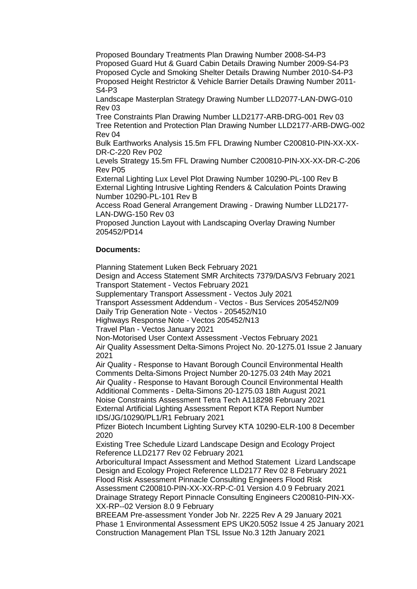Proposed Boundary Treatments Plan Drawing Number 2008-S4-P3 Proposed Guard Hut & Guard Cabin Details Drawing Number 2009-S4-P3 Proposed Cycle and Smoking Shelter Details Drawing Number 2010-S4-P3 Proposed Height Restrictor & Vehicle Barrier Details Drawing Number 2011- S4-P3

Landscape Masterplan Strategy Drawing Number LLD2077-LAN-DWG-010 Rev 03

Tree Constraints Plan Drawing Number LLD2177-ARB-DRG-001 Rev 03 Tree Retention and Protection Plan Drawing Number LLD2177-ARB-DWG-002 Rev 04

Bulk Earthworks Analysis 15.5m FFL Drawing Number C200810-PIN-XX-XX-DR-C-220 Rev P02

Levels Strategy 15.5m FFL Drawing Number C200810-PIN-XX-XX-DR-C-206 Rev P05

External Lighting Lux Level Plot Drawing Number 10290-PL-100 Rev B External Lighting Intrusive Lighting Renders & Calculation Points Drawing Number 10290-PL-101 Rev B

Access Road General Arrangement Drawing - Drawing Number LLD2177- LAN-DWG-150 Rev 03

Proposed Junction Layout with Landscaping Overlay Drawing Number 205452/PD14

## **Documents:**

Planning Statement Luken Beck February 2021 Design and Access Statement SMR Architects 7379/DAS/V3 February 2021 Transport Statement - Vectos February 2021 Supplementary Transport Assessment - Vectos July 2021 Transport Assessment Addendum - Vectos - Bus Services 205452/N09 Daily Trip Generation Note - Vectos - 205452/N10 Highways Response Note - Vectos 205452/N13 Travel Plan - Vectos January 2021 Non-Motorised User Context Assessment -Vectos February 2021 Air Quality Assessment Delta-Simons Project No. 20-1275.01 Issue 2 January 2021 Air Quality - Response to Havant Borough Council Environmental Health Comments Delta-Simons Project Number 20-1275.03 24th May 2021 Air Quality - Response to Havant Borough Council Environmental Health Additional Comments - Delta-Simons 20-1275.03 18th August 2021 Noise Constraints Assessment Tetra Tech A118298 February 2021 External Artificial Lighting Assessment Report KTA Report Number IDS/JG/10290/PL1/R1 February 2021 Pfizer Biotech Incumbent Lighting Survey KTA 10290-ELR-100 8 December 2020 Existing Tree Schedule Lizard Landscape Design and Ecology Project Reference LLD2177 Rev 02 February 2021 Arboricultural Impact Assessment and Method Statement Lizard Landscape Design and Ecology Project Reference LLD2177 Rev 02 8 February 2021 Flood Risk Assessment Pinnacle Consulting Engineers Flood Risk Assessment C200810-PIN-XX-XX-RP-C-01 Version 4.0 9 February 2021 Drainage Strategy Report Pinnacle Consulting Engineers C200810-PIN-XX-XX-RP--02 Version 8.0 9 February BREEAM Pre-assessment Yonder Job Nr. 2225 Rev A 29 January 2021 Phase 1 Environmental Assessment EPS UK20.5052 Issue 4 25 January 2021 Construction Management Plan TSL Issue No.3 12th January 2021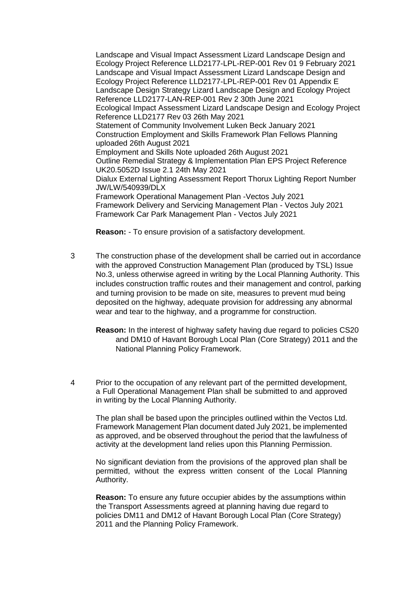Landscape and Visual Impact Assessment Lizard Landscape Design and Ecology Project Reference LLD2177-LPL-REP-001 Rev 01 9 February 2021 Landscape and Visual Impact Assessment Lizard Landscape Design and Ecology Project Reference LLD2177-LPL-REP-001 Rev 01 Appendix E Landscape Design Strategy Lizard Landscape Design and Ecology Project Reference LLD2177-LAN-REP-001 Rev 2 30th June 2021 Ecological Impact Assessment Lizard Landscape Design and Ecology Project Reference LLD2177 Rev 03 26th May 2021 Statement of Community Involvement Luken Beck January 2021 Construction Employment and Skills Framework Plan Fellows Planning uploaded 26th August 2021 Employment and Skills Note uploaded 26th August 2021 Outline Remedial Strategy & Implementation Plan EPS Project Reference UK20.5052D Issue 2.1 24th May 2021 Dialux External Lighting Assessment Report Thorux Lighting Report Number JW/LW/540939/DLX Framework Operational Management Plan -Vectos July 2021 Framework Delivery and Servicing Management Plan - Vectos July 2021 Framework Car Park Management Plan - Vectos July 2021

**Reason:** - To ensure provision of a satisfactory development.

- 3 The construction phase of the development shall be carried out in accordance with the approved Construction Management Plan (produced by TSL) Issue No.3, unless otherwise agreed in writing by the Local Planning Authority. This includes construction traffic routes and their management and control, parking and turning provision to be made on site, measures to prevent mud being deposited on the highway, adequate provision for addressing any abnormal wear and tear to the highway, and a programme for construction.
	- **Reason:** In the interest of highway safety having due regard to policies CS20 and DM10 of Havant Borough Local Plan (Core Strategy) 2011 and the National Planning Policy Framework.
- 4 Prior to the occupation of any relevant part of the permitted development, a Full Operational Management Plan shall be submitted to and approved in writing by the Local Planning Authority.

The plan shall be based upon the principles outlined within the Vectos Ltd. Framework Management Plan document dated July 2021, be implemented as approved, and be observed throughout the period that the lawfulness of activity at the development land relies upon this Planning Permission.

No significant deviation from the provisions of the approved plan shall be permitted, without the express written consent of the Local Planning Authority.

**Reason:** To ensure any future occupier abides by the assumptions within the Transport Assessments agreed at planning having due regard to policies DM11 and DM12 of Havant Borough Local Plan (Core Strategy) 2011 and the Planning Policy Framework.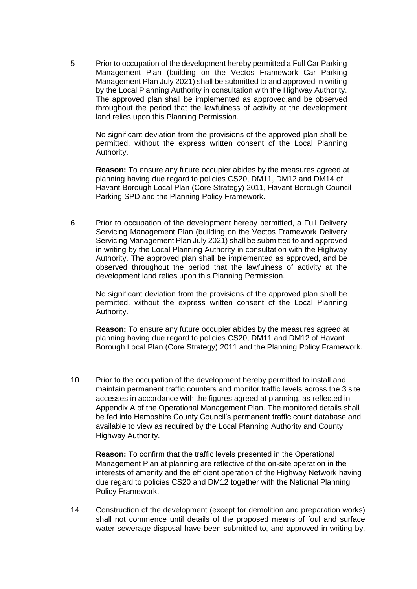5 Prior to occupation of the development hereby permitted a Full Car Parking Management Plan (building on the Vectos Framework Car Parking Management Plan July 2021) shall be submitted to and approved in writing by the Local Planning Authority in consultation with the Highway Authority. The approved plan shall be implemented as approved,and be observed throughout the period that the lawfulness of activity at the development land relies upon this Planning Permission.

No significant deviation from the provisions of the approved plan shall be permitted, without the express written consent of the Local Planning Authority.

**Reason:** To ensure any future occupier abides by the measures agreed at planning having due regard to policies CS20, DM11, DM12 and DM14 of Havant Borough Local Plan (Core Strategy) 2011, Havant Borough Council Parking SPD and the Planning Policy Framework.

6 Prior to occupation of the development hereby permitted, a Full Delivery Servicing Management Plan (building on the Vectos Framework Delivery Servicing Management Plan July 2021) shall be submitted to and approved in writing by the Local Planning Authority in consultation with the Highway Authority. The approved plan shall be implemented as approved, and be observed throughout the period that the lawfulness of activity at the development land relies upon this Planning Permission.

No significant deviation from the provisions of the approved plan shall be permitted, without the express written consent of the Local Planning Authority.

**Reason:** To ensure any future occupier abides by the measures agreed at planning having due regard to policies CS20, DM11 and DM12 of Havant Borough Local Plan (Core Strategy) 2011 and the Planning Policy Framework.

10 Prior to the occupation of the development hereby permitted to install and maintain permanent traffic counters and monitor traffic levels across the 3 site accesses in accordance with the figures agreed at planning, as reflected in Appendix A of the Operational Management Plan. The monitored details shall be fed into Hampshire County Council's permanent traffic count database and available to view as required by the Local Planning Authority and County Highway Authority.

**Reason:** To confirm that the traffic levels presented in the Operational Management Plan at planning are reflective of the on-site operation in the interests of amenity and the efficient operation of the Highway Network having due regard to policies CS20 and DM12 together with the National Planning Policy Framework.

14 Construction of the development (except for demolition and preparation works) shall not commence until details of the proposed means of foul and surface water sewerage disposal have been submitted to, and approved in writing by,